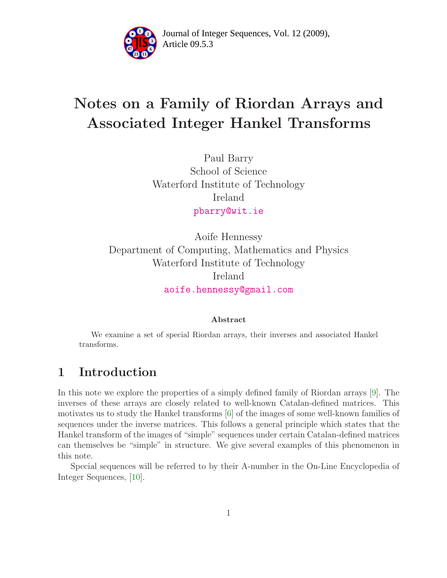

Article 09.5.3 **<sup>2</sup>** Journal of Integer Sequences, Vol. 12 (2009),

# Notes on a Family of Riordan Arrays and Associated Integer Hankel Transforms

Paul Barry School of Science Waterford Institute of Technology Ireland [pbarry@wit.ie](mailto:pbarry@wit.ie)

Aoife Hennessy Department of Computing, Mathematics and Physics Waterford Institute of Technology Ireland [aoife.hennessy@gmail.com](mailto:aoife.hennessy@gmail.com)

#### Abstract

We examine a set of special Riordan arrays, their inverses and associated Hankel transforms.

### 1 Introduction

In this note we explore the properties of a simply defined family of Riordan arrays [\[9\]](#page-10-0). The inverses of these arrays are closely related to well-known Catalan-defined matrices. This motivates us to study the Hankel transforms [\[6\]](#page-10-1) of the images of some well-known families of sequences under the inverse matrices. This follows a general principle which states that the Hankel transform of the images of "simple" sequences under certain Catalan-defined matrices can themselves be "simple" in structure. We give several examples of this phenomenon in this note.

Special sequences will be referred to by their A-number in the On-Line Encyclopedia of Integer Sequences, [\[10\]](#page-10-2).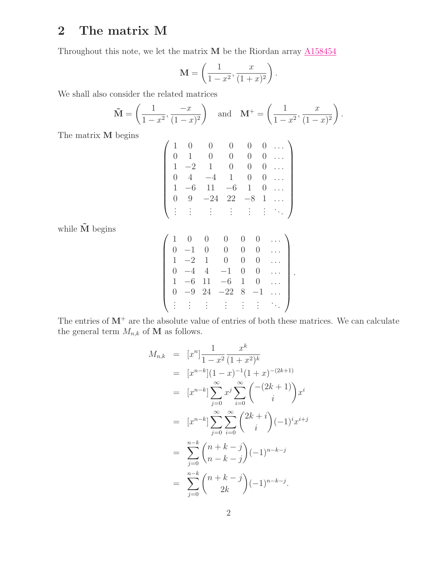### 2 The matrix M

Throughout this note, we let the matrix  $M$  be the Riordan array  $A158454$ 

$$
\mathbf{M} = \left(\frac{1}{1-x^2}, \frac{x}{(1+x)^2}\right).
$$

We shall also consider the related matrices

$$
\tilde{M} = \left(\frac{1}{1-x^2}, \frac{-x}{(1-x)^2}\right)
$$
 and  $M^+ = \left(\frac{1}{1-x^2}, \frac{x}{(1-x)^2}\right)$ .

The matrix M begins

$$
\begin{pmatrix}\n1 & 0 & 0 & 0 & 0 & 0 & \dots \\
0 & 1 & 0 & 0 & 0 & 0 & \dots \\
1 & -2 & 1 & 0 & 0 & 0 & \dots \\
0 & 4 & -4 & 1 & 0 & 0 & \dots \\
1 & -6 & 11 & -6 & 1 & 0 & \dots \\
0 & 9 & -24 & 22 & -8 & 1 & \dots \\
\vdots & \vdots & \vdots & \vdots & \vdots & \vdots & \ddots\n\end{pmatrix}
$$

while  $\tilde{\mathbf{M}}$  begins

|          |        |                  | (− )          |          | $\cup$         |  |
|----------|--------|------------------|---------------|----------|----------------|--|
|          |        | $\left( \right)$ | $\mathbf{r}$  |          | $\cup$         |  |
|          | $1 -2$ | $\mathbf{1}$     | $\Box$        | $\cup$   | $\theta$       |  |
|          | $-4$   | 4                | $-1$          | $\theta$ | $\overline{0}$ |  |
|          | $-6$   | 11               | $\equiv$<br>6 | 1        | $\Omega$       |  |
| $\theta$ | $-9$   |                  | $24 -228$     |          | $-1$           |  |
|          |        |                  |               |          |                |  |

.

The entries of  $M^+$  are the absolute value of entries of both these matrices. We can calculate the general term  $M_{n,k}$  of  $\mathbf M$  as follows.

$$
M_{n,k} = [x^n] \frac{1}{1 - x^2} \frac{x^k}{(1 + x^2)^k}
$$
  
\n
$$
= [x^{n-k}] (1 - x)^{-1} (1 + x)^{-(2k+1)}
$$
  
\n
$$
= [x^{n-k}] \sum_{j=0}^{\infty} x^j \sum_{i=0}^{\infty} {\binom{-(2k+1)}{i}} x^i
$$
  
\n
$$
= [x^{n-k}] \sum_{j=0}^{\infty} \sum_{i=0}^{\infty} {\binom{2k+i}{i}} (-1)^i x^{i+j}
$$
  
\n
$$
= \sum_{j=0}^{n-k} {\binom{n+k-j}{n-k-j}} (-1)^{n-k-j}
$$
  
\n
$$
= \sum_{j=0}^{n-k} {\binom{n+k-j}{2k}} (-1)^{n-k-j}.
$$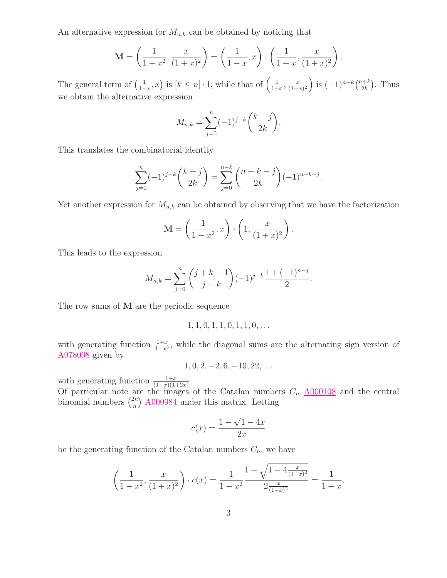An alternative expression for  $M_{n,k}$  can be obtained by noticing that

$$
\mathbf{M} = \left(\frac{1}{1-x^2}, \frac{x}{(1+x)^2}\right) = \left(\frac{1}{1-x}, x\right) \cdot \left(\frac{1}{1+x}, \frac{x}{(1+x)^2}\right).
$$

The general term of  $\left(\frac{1}{1-}\right)$  $\frac{1}{1-x}, x$  is  $[k \leq n] \cdot 1$ , while that of  $\left(\frac{1}{1+x}\right)$  $\frac{1}{1+x}$ ,  $\frac{x}{(1+x)}$  $\frac{x}{(1+x)^2}$  is  $(-1)^{n-k} \binom{n+k}{2k}$  $\binom{n+k}{2k}$ . Thus we obtain the alternative expression

$$
M_{n,k} = \sum_{j=0}^{n} (-1)^{j-k} \binom{k+j}{2k}.
$$

This translates the combinatorial identity

$$
\sum_{j=0}^{n} (-1)^{j-k} {k+j \choose 2k} = \sum_{j=0}^{n-k} {n+k-j \choose 2k} (-1)^{n-k-j}.
$$

Yet another expression for  $M_{n,k}$  can be obtained by observing that we have the factorization

$$
\mathbf{M} = \left(\frac{1}{1-x^2}, x\right) \cdot \left(1, \frac{x}{(1+x)^2}\right).
$$

This leads to the expression

$$
M_{n,k} = \sum_{j=0}^{n} {j+k-1 \choose j-k} (-1)^{j-k} \frac{1+(-1)^{n-j}}{2}.
$$

The row sums of M are the periodic sequence

$$
1, 1, 0, 1, 1, 0, 1, 1, 0, \ldots
$$

with generating function  $\frac{1+x}{1-x^3}$ , while the diagonal sums are the alternating sign version of **[A078008](http://www.research.att.com/cgi-bin/access.cgi/as/~njas/sequences/eisA.cgi?Anum=A078008)** given by

$$
1, 0, 2, -2, 6, -10, 22, \ldots
$$

with generating function  $\frac{1+x}{(1-x)(1+2x)}$ .

Of particular note are the images of the Catalan numbers  $C_n$   $\underline{\text{A}000108}$  and the central binomial numbers  $\binom{2n}{n}$  $\binom{2n}{n}$   $\underline{\text{A}000984}$  under this matrix. Letting

$$
c(x) = \frac{1 - \sqrt{1 - 4x}}{2x}
$$

be the generating function of the Catalan numbers  $C_n$ , we have

$$
\left(\frac{1}{1-x^2}, \frac{x}{(1+x)^2}\right) \cdot c(x) = \frac{1}{1-x^2} \frac{1 - \sqrt{1 - 4\frac{x}{(1+x)^2}}}{2\frac{x}{(1+x)^2}} = \frac{1}{1-x}
$$

.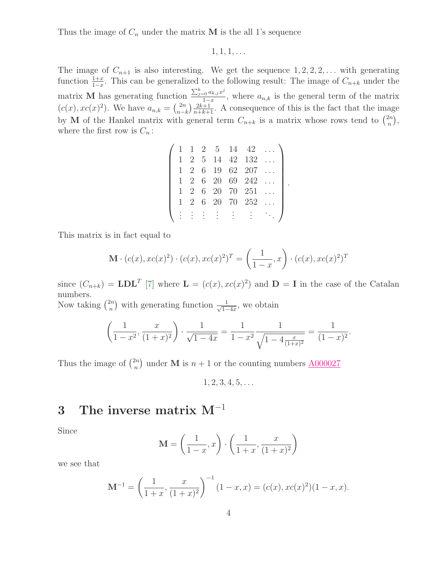Thus the image of  $C_n$  under the matrix **M** is the all 1's sequence

 $1, 1, 1, \ldots$ 

The image of  $C_{n+1}$  is also interesting. We get the sequence  $1, 2, 2, 2, \ldots$  with generating function  $\frac{1+x}{1-x}$ . This can be generalized to the following result: The image of  $C_{n+k}$  under the matrix **M** has generating function  $\frac{\sum_{j=0}^{k} a_{k,j}x^{j}}{1-x}$  $\frac{1-\alpha}{1-x}$ , where  $a_{n,k}$  is the general term of the matrix  $(c(x), xc(x)^2)$ . We have  $a_{n,k} = \binom{2n}{n-k}$  $\binom{2n}{n-k}\frac{2k+1}{n+k+1}$ . A consequence of this is the fact that the image by M of the Hankel matrix with general term  $C_{n+k}$  is a matrix whose rows tend to  $\binom{2n}{n}$  $\binom{2n}{n},$ where the first row is  $C_n$ :

|   |   |                   |  | 1 1 2 5 14 42                  |  |
|---|---|-------------------|--|--------------------------------|--|
|   |   |                   |  | 1 2 5 14 42 132                |  |
|   |   |                   |  | 1 2 6 19 62 207                |  |
|   |   | $1\quad 2\quad 6$ |  | 20 69 242                      |  |
|   |   |                   |  | $1\ 2\ 6\ 20\ 70\ 251\ \ldots$ |  |
| 1 | 2 |                   |  | 6 20 70 252                    |  |
|   |   | i rin             |  |                                |  |

.

This matrix is in fact equal to

$$
\mathbf{M} \cdot (c(x), xc(x)^2) \cdot (c(x), xc(x)^2)^T = \left(\frac{1}{1-x}, x\right) \cdot (c(x), xc(x)^2)^T
$$

since  $(C_{n+k}) = \mathbf{LDL}^T$  [\[7\]](#page-10-3) where  $\mathbf{L} = (c(x), xc(x)^2)$  and  $\mathbf{D} = \mathbf{I}$  in the case of the Catalan numbers.

Now taking  $\binom{2n}{n}$  $\binom{2n}{n}$  with generating function  $\frac{1}{\sqrt{1-\dots}}$  $\frac{1}{1-4x}$ , we obtain

$$
\left(\frac{1}{1-x^2}, \frac{x}{(1+x)^2}\right) \cdot \frac{1}{\sqrt{1-4x}} = \frac{1}{1-x^2} \frac{1}{\sqrt{1-4\frac{x}{(1+x)^2}}} = \frac{1}{(1-x)^2}.
$$

Thus the image of  $\binom{2n}{n}$  $\binom{2n}{n}$  under **M** is  $n+1$  or the counting numbers  $\frac{A000027}{n}$  $\frac{A000027}{n}$  $\frac{A000027}{n}$ 

 $1, 2, 3, 4, 5, \ldots$ 

#### 3 The inverse matrix  $M^{-1}$

Since

$$
\mathbf{M} = \left(\frac{1}{1-x}, x\right) \cdot \left(\frac{1}{1+x}, \frac{x}{(1+x)^2}\right)
$$

we see that

$$
\mathbf{M}^{-1} = \left(\frac{1}{1+x}, \frac{x}{(1+x)^2}\right)^{-1} (1-x, x) = (c(x), xc(x)^2)(1-x, x).
$$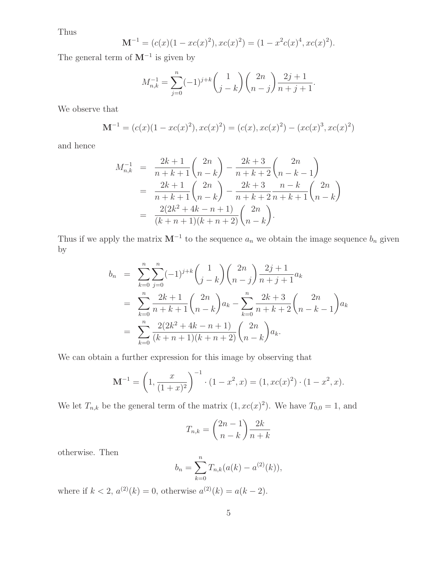Thus

$$
\mathbf{M}^{-1} = (c(x)(1 - xc(x)^2), xc(x)^2) = (1 - x^2c(x)^4, xc(x)^2).
$$

The general term of  $M^{-1}$  is given by

$$
M_{n,k}^{-1} = \sum_{j=0}^{n} (-1)^{j+k} {1 \choose j-k} {2n \choose n-j} \frac{2j+1}{n+j+1}.
$$

We observe that

$$
\mathbf{M}^{-1} = (c(x)(1 - xc(x)^2), xc(x)^2) = (c(x), xc(x)^2) - (xc(x)^3, xc(x)^2)
$$

and hence

$$
M_{n,k}^{-1} = \frac{2k+1}{n+k+1} {2n \choose n-k} - \frac{2k+3}{n+k+2} {2n \choose n-k-1}
$$
  
= 
$$
\frac{2k+1}{n+k+1} {2n \choose n-k} - \frac{2k+3}{n+k+2} \frac{n-k}{n+k+1} {2n \choose n-k}
$$
  
= 
$$
\frac{2(2k^2+4k-n+1)}{(k+n+1)(k+n+2)} {2n \choose n-k}.
$$

Thus if we apply the matrix  $M^{-1}$  to the sequence  $a_n$  we obtain the image sequence  $b_n$  given by

$$
b_n = \sum_{k=0}^n \sum_{j=0}^n (-1)^{j+k} {1 \choose j-k} {2n \choose n-j} \frac{2j+1}{n+j+1} a_k
$$
  
= 
$$
\sum_{k=0}^n \frac{2k+1}{n+k+1} {2n \choose n-k} a_k - \sum_{k=0}^n \frac{2k+3}{n+k+2} {2n \choose n-k-1} a_k
$$
  
= 
$$
\sum_{k=0}^n \frac{2(2k^2+4k-n+1)}{(k+n+1)(k+n+2)} {2n \choose n-k} a_k.
$$

We can obtain a further expression for this image by observing that

$$
\mathbf{M}^{-1} = \left(1, \frac{x}{(1+x)^2}\right)^{-1} \cdot (1-x^2, x) = (1, xc(x)^2) \cdot (1-x^2, x).
$$

We let  $T_{n,k}$  be the general term of the matrix  $(1, xc(x)^2)$ . We have  $T_{0,0} = 1$ , and

$$
T_{n,k} = \binom{2n-1}{n-k} \frac{2k}{n+k}
$$

otherwise. Then

$$
b_n = \sum_{k=0}^n T_{n,k}(a(k) - a^{(2)}(k)),
$$

where if  $k < 2$ ,  $a^{(2)}(k) = 0$ , otherwise  $a^{(2)}(k) = a(k-2)$ .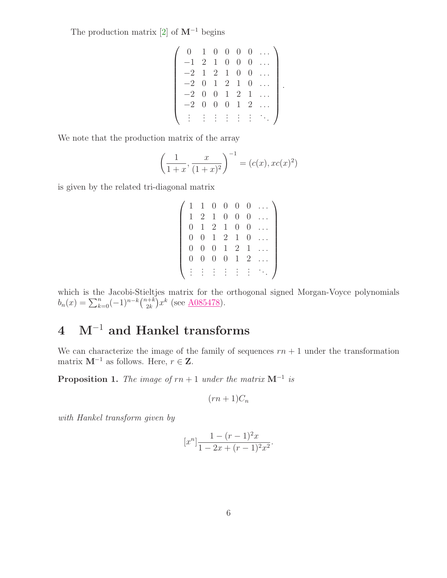The production matrix  $[2]$  of  $M^{-1}$  begins

$$
\begin{pmatrix}\n0 & 1 & 0 & 0 & 0 & 0 & \dots \\
-1 & 2 & 1 & 0 & 0 & 0 & \dots \\
-2 & 1 & 2 & 1 & 0 & 0 & \dots \\
-2 & 0 & 1 & 2 & 1 & 0 & \dots \\
-2 & 0 & 0 & 1 & 2 & 1 & \dots \\
-2 & 0 & 0 & 0 & 1 & 2 & \dots \\
\vdots & \vdots & \vdots & \vdots & \vdots & \vdots & \ddots\n\end{pmatrix}.
$$

We note that the production matrix of the array

$$
\left(\frac{1}{1+x}, \frac{x}{(1+x)^2}\right)^{-1} = (c(x), xc(x)^2)
$$

is given by the related tri-diagonal matrix

| $\mathbf{1}$     | $\mathbf{1}$     | $\overline{0}$ | 0              | $\overline{0}$ | 0              |  |
|------------------|------------------|----------------|----------------|----------------|----------------|--|
| $\mathbf{1}$     | 2                | $\mathbf{1}$   | 0              | $\cup$         | 0              |  |
| $\theta$         | 1                | $\overline{2}$ | $\mathbf{1}$   | 0              | 0              |  |
| $\left( \right)$ | $\theta$         | $\mathbf{1}$   | $\overline{2}$ | $\mathbf{1}$   | 0              |  |
| $\left( \right)$ | $\left( \right)$ | O              | $\mathbf{1}$   | $\overline{2}$ | 1              |  |
| 0                | $\cup$           | O              | 0              | $\mathbf{1}$   | $\overline{2}$ |  |
|                  |                  |                |                |                |                |  |

which is the Jacobi-Stieltjes matrix for the orthogonal signed Morgan-Voyce polynomials  $b_n(x) = \sum_{k=0}^n (-1)^{n-k} \binom{n+k}{2k}$  $\binom{n+k}{2k} x^k$  (see <u>A085478</u>).

## 4 M−<sup>1</sup> and Hankel transforms

<span id="page-5-0"></span>We can characterize the image of the family of sequences  $rn + 1$  under the transformation matrix  $M^{-1}$  as follows. Here,  $r \in \mathbf{Z}$ .

**Proposition 1.** The image of  $rn + 1$  under the matrix  $M^{-1}$  is

$$
(rn+1)C_n
$$

with Hankel transform given by

$$
[x^n] \frac{1 - (r-1)^2 x}{1 - 2x + (r-1)^2 x^2}.
$$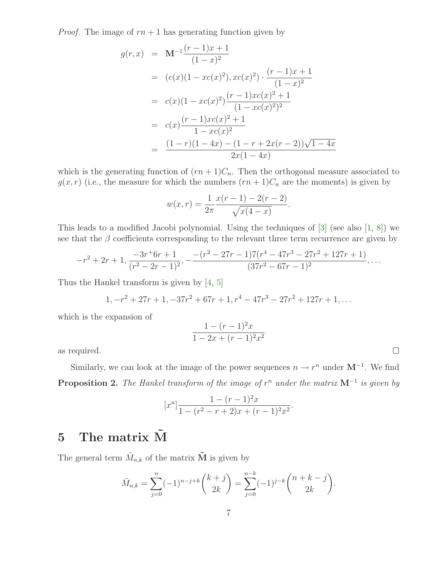*Proof.* The image of  $rn + 1$  has generating function given by

$$
g(r,x) = \mathbf{M}^{-1} \frac{(r-1)x+1}{(1-x)^2}
$$
  
=  $(c(x)(1-xc(x)^2), xc(x)^2) \cdot \frac{(r-1)x+1}{(1-x)^2}$   
=  $c(x)(1-xc(x)^2) \frac{(r-1)xc(x)^2+1}{(1-xc(x)^2)^2}$   
=  $c(x) \frac{(r-1)xc(x)^2+1}{1-xc(x)^2}$   
=  $\frac{(1-r)(1-4x) - (1-r+2x(r-2))\sqrt{1-4x}}{2x(1-4x)}$ 

which is the generating function of  $(rn+1)C_n$ . Then the orthogonal measure associated to  $g(x, r)$  (i.e., the measure for which the numbers  $(rn + 1)C_n$  are the moments) is given by

$$
w(x,r) = \frac{1}{2\pi} \frac{x(r-1) - 2(r-2)}{\sqrt{x(4-x)}}.
$$

This leads to a modified Jacobi polynomial. Using the techniques of [\[3\]](#page-10-5) (see also [\[1,](#page-10-6) [8\]](#page-10-7)) we see that the  $\beta$  coefficients corresponding to the relevant three term recurrence are given by

$$
-r^2+2r+1,\frac{-3r^+6r+1}{(r^2-2r-1)^2},-\frac{-(r^2-27r-1)7(r^4-47r^3-27r^2+127r+1)}{(37r^2-67r-1)^2},\ldots
$$

Thus the Hankel transform is given by [\[4,](#page-10-8) [5\]](#page-10-9)

$$
1, -r^2 + 27r + 1, -37r^2 + 67r + 1, r^4 - 47r^3 - 27r^2 + 127r + 1, ...
$$

which is the expansion of

$$
\frac{1 - (r - 1)^2 x}{1 - 2x + (r - 1)^2 x^2}
$$

 $\Box$ 

as required.

Similarly, we can look at the image of the power sequences  $n \to r^n$  under  $M^{-1}$ . We find **Proposition 2.** The Hankel transform of the image of  $r^n$  under the matrix  $M^{-1}$  is given by

$$
[xn] \frac{1 - (r - 1)2 x}{1 - (r2 - r + 2)x + (r - 1)2 x2}.
$$

### 5 The matrix  $\tilde{M}$

The general term  $\tilde{M}_{n,k}$  of the matrix  $\tilde{\mathbf{M}}$  is given by

$$
\tilde{M}_{n,k} = \sum_{j=0}^{n} (-1)^{n-j+k} \binom{k+j}{2k} = \sum_{j=0}^{n-k} (-1)^{j-k} \binom{n+k-j}{2k}.
$$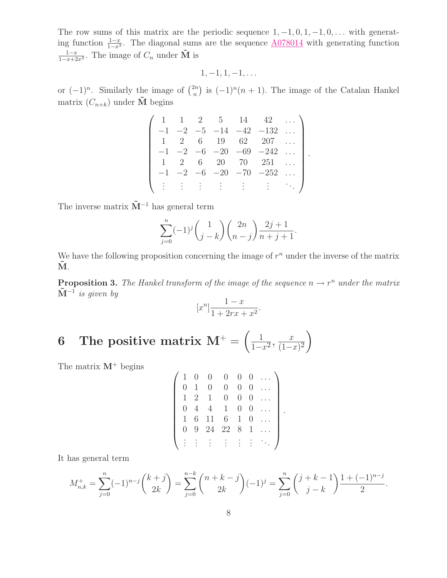The row sums of this matrix are the periodic sequence  $1, -1, 0, 1, -1, 0, \ldots$  with generating function  $\frac{1-x}{1-x^3}$ . The diagonal sums are the sequence  $\frac{A078014}{4}$  $\frac{A078014}{4}$  $\frac{A078014}{4}$  with generating function  $\frac{1-x}{1-x+2x^3}$ . The image of  $C_n$  under  $\tilde{M}$  is

$$
1,-1,1,-1,\ldots
$$

or  $(-1)^n$ . Similarly the image of  $\binom{2n}{n}$  $\binom{2n}{n}$  is  $(-1)^n(n + 1)$ . The image of the Catalan Hankel matrix  $(C_{n+k})$  under  $\tilde{M}$  begins

|      |      |      | $5 -$ | 14          | 42                          |  |
|------|------|------|-------|-------------|-----------------------------|--|
| $-1$ |      | $-5$ | $-14$ | $-42$       | $-132$                      |  |
|      |      |      | 19    | 62          | 207                         |  |
| $-1$ | $-2$ | $-6$ | $-20$ | $-69$       | $-242$                      |  |
|      |      |      | 20    | $70-$       | 251                         |  |
| $-1$ | $-2$ | -6   |       | $-20$ $-70$ | $-252$                      |  |
|      |      |      |       |             | Politika (1941)<br>Politika |  |

.

The inverse matrix  $\tilde{M}^{-1}$  has general term

$$
\sum_{j=0}^{n} (-1)^{j} {1 \choose j-k} {2n \choose n-j} \frac{2j+1}{n+j+1}.
$$

We have the following proposition concerning the image of  $r^n$  under the inverse of the matrix  $\overline{\mathbf{M}}$ .

**Proposition 3.** The Hankel transform of the image of the sequence  $n \to r^n$  under the matrix  $\tilde{\mathbf{M}}^{-1}$  is given by

$$
[x^n] \frac{1-x}{1+2rx+x^2}.
$$

#### 6 The positive matrix  $M^+ = \begin{pmatrix} 1 & 1 \\ 1 & 1 \end{pmatrix}$  $\frac{1}{1-x^2}, \frac{x}{(1-x)}$  $\frac{x}{(1-x)^2}$

The matrix  $M^+$  begins

$$
\left(\begin{array}{cccccc} 1 & 0 & 0 & 0 & 0 & 0 & \dots \\ 0 & 1 & 0 & 0 & 0 & 0 & \dots \\ 1 & 2 & 1 & 0 & 0 & 0 & \dots \\ 0 & 4 & 4 & 1 & 0 & 0 & \dots \\ 1 & 6 & 11 & 6 & 1 & 0 & \dots \\ 0 & 9 & 24 & 22 & 8 & 1 & \dots \\ \vdots & \vdots & \vdots & \vdots & \vdots & \vdots & \ddots \end{array}\right).
$$

It has general term

$$
M_{n,k}^{+} = \sum_{j=0}^{n} (-1)^{n-j} {k+j \choose 2k} = \sum_{j=0}^{n-k} {n+k-j \choose 2k} (-1)^{j} = \sum_{j=0}^{n} {j+k-1 \choose j-k} \frac{1+(-1)^{n-j}}{2}.
$$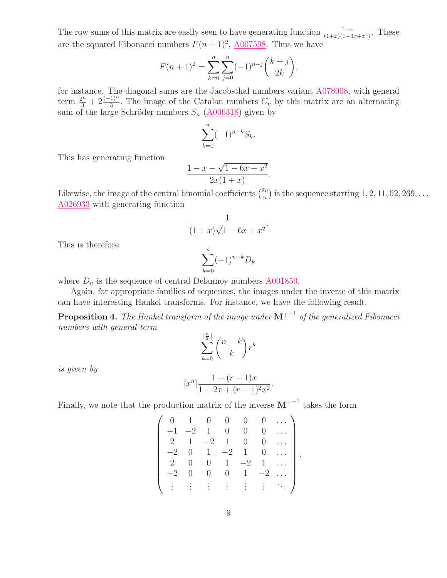The row sums of this matrix are easily seen to have generating function  $\frac{1-x}{(1+x)(1-3x+x^2)}$ . These are the squared Fibonacci numbers  $F(n+1)^2$ ,  $\underline{A007598}$ . Thus we have

$$
F(n+1)^{2} = \sum_{k=0}^{n} \sum_{j=0}^{n} (-1)^{n-j} {k+j \choose 2k},
$$

for instance. The diagonal sums are the Jacobsthal numbers variant [A078008,](http://www.research.att.com/cgi-bin/access.cgi/as/~njas/sequences/eisA.cgi?Anum=A078008) with general term  $\frac{2^n}{3} + 2 \frac{(-1)^n}{3}$ . The image of the Catalan numbers  $C_n$  by this matrix are an alternating sum of the large Schröder numbers  $S_n$  ( $\underline{A006318}$ ) given by

$$
\sum_{k=0}^{n} (-1)^{n-k} S_k.
$$

This has generating function

$$
\frac{1 - x - \sqrt{1 - 6x + x^2}}{2x(1 + x)}.
$$

Likewise, the image of the central binomial coefficients  $\binom{2n}{n}$  $\binom{2n}{n}$  is the sequence starting  $1, 2, 11, 52, 269, \ldots$ [A026933](http://www.research.att.com/cgi-bin/access.cgi/as/~njas/sequences/eisA.cgi?Anum=A026933) with generating function

$$
\frac{1}{(1+x)\sqrt{1-6x+x^2}}.
$$

This is therefore

$$
\sum_{k=0}^{n} (-1)^{n-k} D_k
$$

where  $D_n$  is the sequence of central Delannoy numbers  $\triangle 0.01850$ .

Again, for appropriate families of sequences, the images under the inverse of this matrix can have interesting Hankel transforms. For instance, we have the following result.

**Proposition 4.** The Hankel transform of the image under  $M^{+-1}$  of the generalized Fibonacci numbers with general term

$$
\sum_{k=0}^{\lfloor \frac{n}{2} \rfloor} \binom{n-k}{k} r^k
$$

is given by

$$
[x^n] \frac{1 + (r - 1)x}{1 + 2x + (r - 1)^2 x^2}
$$

.

Finally, we note that the production matrix of the inverse  $M^{+^{-1}}$  takes the form

$$
\begin{pmatrix}\n0 & 1 & 0 & 0 & 0 & 0 & \cdots \\
-1 & -2 & 1 & 0 & 0 & 0 & \cdots \\
2 & 1 & -2 & 1 & 0 & 0 & \cdots \\
-2 & 0 & 1 & -2 & 1 & 0 & \cdots \\
2 & 0 & 0 & 1 & -2 & 1 & \cdots \\
-2 & 0 & 0 & 0 & 1 & -2 & \cdots \\
\vdots & \vdots & \vdots & \vdots & \vdots & \vdots & \ddots\n\end{pmatrix}.
$$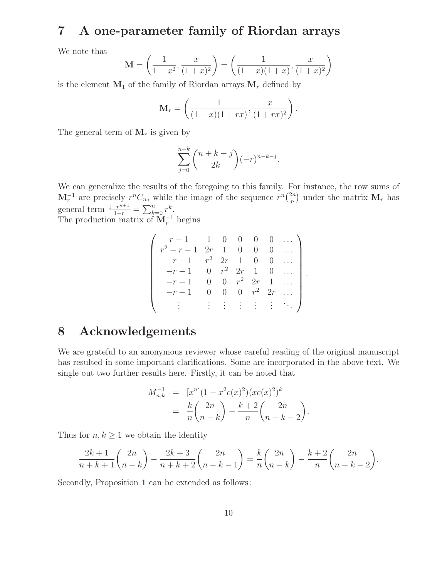#### 7 A one-parameter family of Riordan arrays

We note that

$$
\mathbf{M} = \left(\frac{1}{1-x^2}, \frac{x}{(1+x)^2}\right) = \left(\frac{1}{(1-x)(1+x)}, \frac{x}{(1+x)^2}\right)
$$

is the element  $M_1$  of the family of Riordan arrays  $M_r$  defined by

$$
\mathbf{M}_{r} = \left(\frac{1}{(1-x)(1+rx)}, \frac{x}{(1+rx)^{2}}\right).
$$

The general term of  $M_r$  is given by

$$
\sum_{j=0}^{n-k} \binom{n+k-j}{2k} (-r)^{n-k-j}.
$$

We can generalize the results of the foregoing to this family. For instance, the row sums of  $\mathbf{M}_r^{-1}$  are precisely  $r^nC_n$ , while the image of the sequence  $r^n\binom{2n}{n}$  $\binom{2n}{n}$  under the matrix  $\mathbf{M}_r$  has general term  $\frac{1-r^{n+1}}{1-r} = \sum_{k=0}^{n} r^k$ .

The production matrix of  $M_r^{-1}$  begins

$$
\begin{pmatrix}\nr-1 & 1 & 0 & 0 & 0 & 0 & \dots \\
r^2 - r - 1 & 2r & 1 & 0 & 0 & 0 & \dots \\
-r - 1 & r^2 & 2r & 1 & 0 & 0 & \dots \\
-r - 1 & 0 & r^2 & 2r & 1 & 0 & \dots \\
-r - 1 & 0 & 0 & r^2 & 2r & 1 & \dots \\
-r - 1 & 0 & 0 & 0 & r^2 & 2r & \dots \\
\vdots & \vdots & \vdots & \vdots & \vdots & \vdots & \ddots\n\end{pmatrix}.
$$

#### 8 Acknowledgements

We are grateful to an anonymous reviewer whose careful reading of the original manuscript has resulted in some important clarifications. Some are incorporated in the above text. We single out two further results here. Firstly, it can be noted that

$$
M_{n,k}^{-1} = [x^n](1 - x^2 c(x)^2)(xc(x)^2)^k
$$
  
=  $\frac{k}{n} {2n \choose n-k} - \frac{k+2}{n} {2n \choose n-k-2}.$ 

Thus for  $n, k \geq 1$  we obtain the identity

$$
\frac{2k+1}{n+k+1} {2n \choose n-k} - \frac{2k+3}{n+k+2} {2n \choose n-k-1} = \frac{k}{n} {2n \choose n-k} - \frac{k+2}{n} {2n \choose n-k-2}.
$$

Secondly, Proposition [1](#page-5-0) can be extended as follows :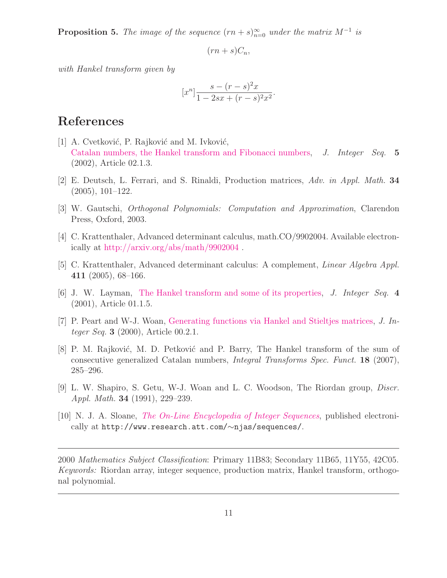**Proposition 5.** The image of the sequence  $(rn + s)_{n=0}^{\infty}$  under the matrix  $M^{-1}$  is

$$
(rn+s)C_n,
$$

with Hankel transform given by

$$
[x^n] \frac{s - (r - s)^2 x}{1 - 2sx + (r - s)^2 x^2}.
$$

#### <span id="page-10-6"></span>References

- [1] A. Cvetković, P. Rajković and M. Ivković, [Catalan numbers, the Hankel transform and Fibonacci numbers,](http://www.cs.uwaterloo.ca/journals/JIS/VOL5/Ivkovic/ivkovic3.html) J. Integer Seq. 5 (2002), Article 02.1.3.
- <span id="page-10-5"></span><span id="page-10-4"></span>[2] E. Deutsch, L. Ferrari, and S. Rinaldi, Production matrices, Adv. in Appl. Math. 34 (2005), 101–122.
- <span id="page-10-8"></span>[3] W. Gautschi, Orthogonal Polynomials: Computation and Approximation, Clarendon Press, Oxford, 2003.
- <span id="page-10-9"></span>[4] C. Krattenthaler, Advanced determinant calculus, math.CO/9902004. Available electronically at <http://arxiv.org/abs/math/9902004> .
- <span id="page-10-1"></span>[5] C. Krattenthaler, Advanced determinant calculus: A complement, Linear Algebra Appl. 411 (2005), 68–166.
- [6] J. W. Layman, [The Hankel transform and some of its properties,](http://www.cs.uwaterloo.ca/journals/JIS/VOL4/LAYMAN/hankel.html) J. Integer Seq. 4 (2001), Article 01.1.5.
- <span id="page-10-7"></span><span id="page-10-3"></span>[7] P. Peart and W-J. Woan, [Generating functions via Hankel and Stieltjes matrices,](http://www.cs.uwaterloo.ca/journals/JIS/VOL3/PEART/peart1.html) J. Integer Seq. 3 (2000), Article 00.2.1.
- [8] P. M. Rajković, M. D. Petković and P. Barry, The Hankel transform of the sum of consecutive generalized Catalan numbers, Integral Transforms Spec. Funct. 18 (2007), 285–296.
- <span id="page-10-0"></span>[9] L. W. Shapiro, S. Getu, W-J. Woan and L. C. Woodson, The Riordan group, Discr. Appl. Math. 34 (1991), 229–239.
- <span id="page-10-2"></span>[10] N. J. A. Sloane, *[The On-Line Encyclopedia of Integer Sequences](http://www.research.att.com/~njas/sequences)*, published electronically at http://www.research.att.com/∼njas/sequences/.

2000 Mathematics Subject Classification: Primary 11B83; Secondary 11B65, 11Y55, 42C05. Keywords: Riordan array, integer sequence, production matrix, Hankel transform, orthogonal polynomial.